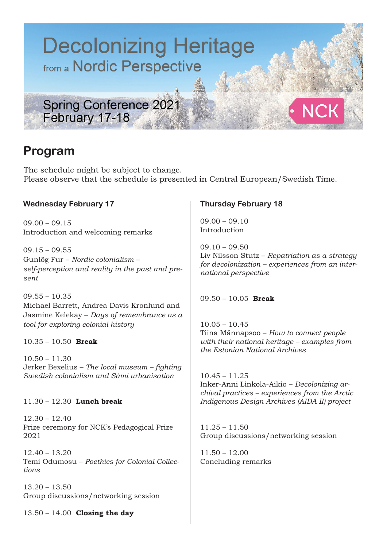

## **Program**

The schedule might be subject to change. Please observe that the schedule is presented in Central European/Swedish Time.

### **Wednesday February 17**

 $09.00 - 09.15$ Introduction and welcoming remarks

 $09.15 - 09.55$ Gunlög Fur – *Nordic colonialism – self-perception and reality in the past and present*

09.55 – 10.35 Michael Barrett, Andrea Davis Kronlund and Jasmine Kelekay – *Days of remembrance as a tool for exploring colonial history*

10.35 – 10.50 **Break** 

 $10.50 - 11.30$ Jerker Bexelius – *The local museum – fighting Swedish colonialism and Sámi urbanisation*

11.30 – 12.30 **Lunch break** 

12.30 – 12.40 Prize ceremony for NCK's Pedagogical Prize 2021

12.40 – 13.20 Temi Odumosu – *Poethics for Colonial Collections*

13.20 – 13.50 Group discussions/networking session

13.50 – 14.00 **Closing the day**

### **Thursday February 18**

 $09.00 - 09.10$ Introduction

 $09.10 - 09.50$ Liv Nilsson Stutz – *Repatriation as a strategy for decolonization – experiences from an international perspective*

09.50 – 10.05 **Break** 

 $10.05 - 10.45$ Tiina Männapsoo – *How to connect people with their national heritage – examples from the Estonian National Archives*

 $10.45 - 11.25$ Inker-Anni Linkola-Aikio – *Decolonizing archival practices – experiences from the Arctic Indigenous Design Archives (AIDA II) project*

11.25 – 11.50 Group discussions/networking session

 $11.50 - 12.00$ Concluding remarks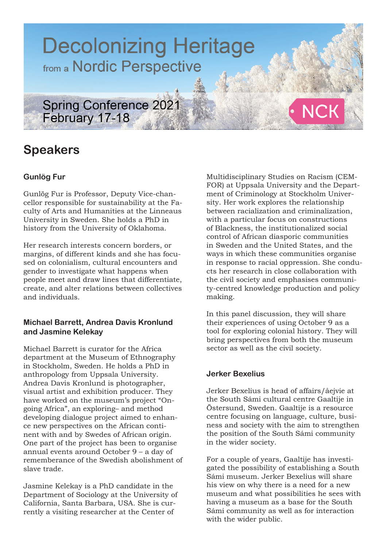

# **Speakers**

### **Gunlög Fur**

Gunlög Fur is Professor, Deputy Vice-chancellor responsible for sustainability at the Faculty of Arts and Humanities at the Linneaus University in Sweden. She holds a PhD in history from the University of Oklahoma.

Her research interests concern borders, or margins, of different kinds and she has focused on colonialism, cultural encounters and gender to investigate what happens when people meet and draw lines that differentiate, create, and alter relations between collectives and individuals.

### **Michael Barrett, Andrea Davis Kronlund and Jasmine Kelekay**

Michael Barrett is curator for the Africa department at the Museum of Ethnography in Stockholm, Sweden. He holds a PhD in anthropology from Uppsala University. Andrea Davis Kronlund is photographer, visual artist and exhibition producer. They have worked on the museum's project "Ongoing Africa", an exploring– and method developing dialogue project aimed to enhance new perspectives on the African continent with and by Swedes of African origin. One part of the project has been to organise annual events around October 9 – a day of rememberance of the Swedish abolishment of slave trade.

Jasmine Kelekay is a PhD candidate in the Department of Sociology at the University of California, Santa Barbara, USA. She is currently a visiting researcher at the Center of

Multidisciplinary Studies on Racism (CEM-FOR) at Uppsala University and the Department of Criminology at Stockholm University. Her work explores the relationship between racialization and criminalization, with a particular focus on constructions of Blackness, the institutionalized social control of African diasporic communities in Sweden and the United States, and the ways in which these communities organise in response to racial oppression. She conducts her research in close collaboration with the civil society and emphasises community-centred knowledge production and policy making.

In this panel discussion, they will share their experiences of using October 9 as a tool for exploring colonial history. They will bring perspectives from both the museum sector as well as the civil society.

### **Jerker Bexelius**

Jerker Bexelius is head of affairs/åejvie at the South Sámi cultural centre Gaaltije in Östersund, Sweden. Gaaltije is a resource centre focusing on language, culture, business and society with the aim to strengthen the position of the South Sámi community in the wider society.

For a couple of years, Gaaltije has investigated the possibility of establishing a South Sámi museum. Jerker Bexelius will share his view on why there is a need for a new museum and what possibilities he sees with having a museum as a base for the South Sámi community as well as for interaction with the wider public.